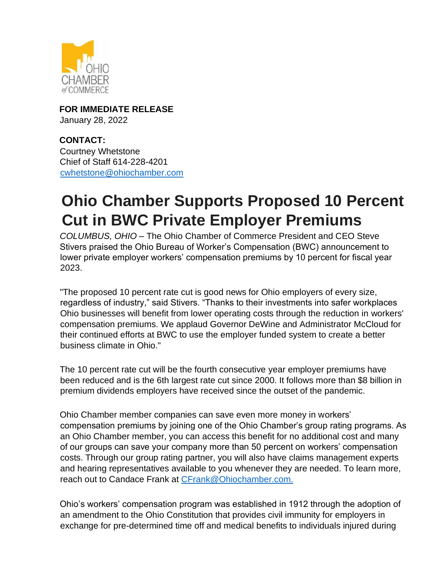

**FOR IMMEDIATE RELEASE** January 28, 2022

**CONTACT:** Courtney Whetstone Chief of Staff 614-228-4201 [cwhetstone@ohiochamber.com](mailto:cwhetstone@ohiochamber.co%20m)

## **Ohio Chamber Supports Proposed 10 Percent Cut in BWC Private Employer Premiums**

*COLUMBUS, OHIO* – The Ohio Chamber of Commerce President and CEO Steve Stivers praised the Ohio Bureau of Worker's Compensation (BWC) announcement to lower private employer workers' compensation premiums by 10 percent for fiscal year 2023.

"The proposed 10 percent rate cut is good news for Ohio employers of every size, regardless of industry," said Stivers. "Thanks to their investments into safer workplaces Ohio businesses will benefit from lower operating costs through the reduction in workers' compensation premiums. We applaud Governor DeWine and Administrator McCloud for their continued efforts at BWC to use the employer funded system to create a better business climate in Ohio."

The 10 percent rate cut will be the fourth consecutive year employer premiums have been reduced and is the 6th largest rate cut since 2000. It follows more than \$8 billion in premium dividends employers have received since the outset of the pandemic.

Ohio Chamber member companies can save even more money in workers' compensation premiums by joining one of the Ohio Chamber's group rating programs. As an Ohio Chamber member, you can access this benefit for no additional cost and many of our groups can save your company more than 50 percent on workers' compensation costs. Through our group rating partner, you will also have claims management experts and hearing representatives available to you whenever they are needed. To learn more, reach out to Candace Frank at [CFrank@Ohiochamber.com.](mailto:CFrank@Ohiochamber.com.)

Ohio's workers' compensation program was established in 1912 through the adoption of an amendment to the Ohio Constitution that provides civil immunity for employers in exchange for pre-determined time off and medical benefits to individuals injured during